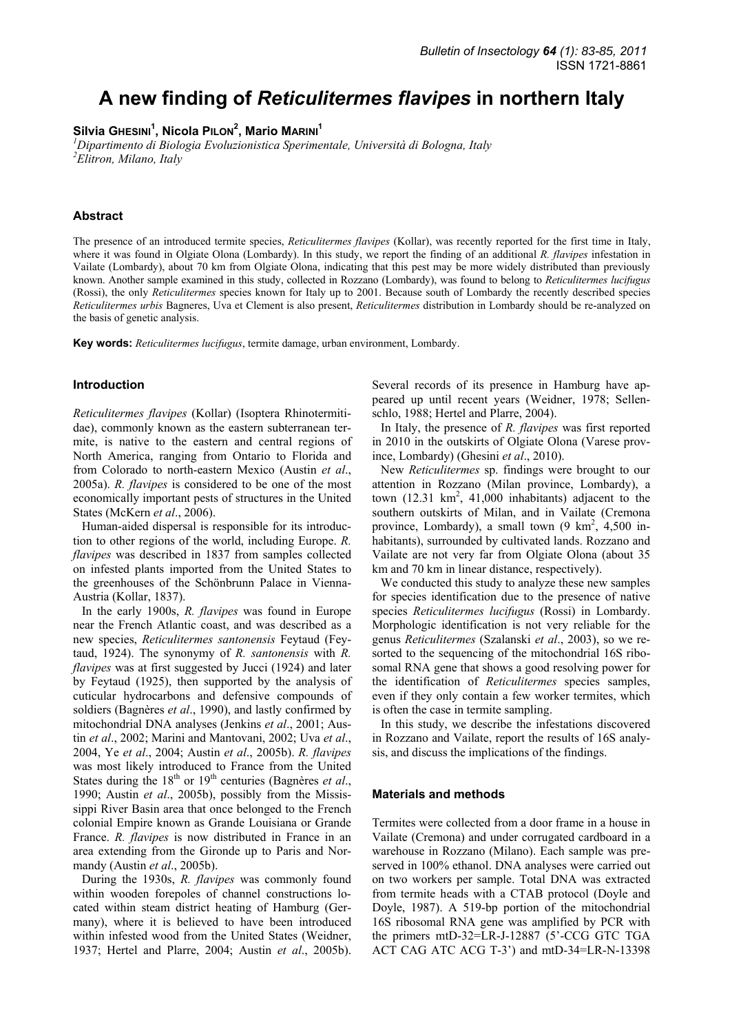# **A new finding of** *Reticulitermes flavipes* **in northern Italy**

## Silvia GHESINI<sup>1</sup>, Nicola PILON<sup>2</sup>, Mario MARINI<sup>1</sup>

*1 Dipartimento di Biologia Evoluzionistica Sperimentale, Università di Bologna, Italy 2 Elitron, Milano, Italy* 

## **Abstract**

The presence of an introduced termite species, *Reticulitermes flavipes* (Kollar), was recently reported for the first time in Italy, where it was found in Olgiate Olona (Lombardy). In this study, we report the finding of an additional *R. flavipes* infestation in Vailate (Lombardy), about 70 km from Olgiate Olona, indicating that this pest may be more widely distributed than previously known. Another sample examined in this study, collected in Rozzano (Lombardy), was found to belong to *Reticulitermes lucifugus*  (Rossi), the only *Reticulitermes* species known for Italy up to 2001. Because south of Lombardy the recently described species *Reticulitermes urbis* Bagneres, Uva et Clement is also present, *Reticulitermes* distribution in Lombardy should be re-analyzed on the basis of genetic analysis.

**Key words:** *Reticulitermes lucifugus*, termite damage, urban environment, Lombardy.

#### **Introduction**

*Reticulitermes flavipes* (Kollar) (Isoptera Rhinotermitidae), commonly known as the eastern subterranean termite, is native to the eastern and central regions of North America, ranging from Ontario to Florida and from Colorado to north-eastern Mexico (Austin *et al*., 2005a). *R. flavipes* is considered to be one of the most economically important pests of structures in the United States (McKern *et al*., 2006).

Human-aided dispersal is responsible for its introduction to other regions of the world, including Europe. *R. flavipes* was described in 1837 from samples collected on infested plants imported from the United States to the greenhouses of the Schönbrunn Palace in Vienna-Austria (Kollar, 1837).

In the early 1900s, *R. flavipes* was found in Europe near the French Atlantic coast, and was described as a new species, *Reticulitermes santonensis* Feytaud (Feytaud, 1924). The synonymy of *R. santonensis* with *R. flavipes* was at first suggested by Jucci (1924) and later by Feytaud (1925), then supported by the analysis of cuticular hydrocarbons and defensive compounds of soldiers (Bagnères *et al*., 1990), and lastly confirmed by mitochondrial DNA analyses (Jenkins *et al*., 2001; Austin *et al*., 2002; Marini and Mantovani, 2002; Uva *et al*., 2004, Ye *et al*., 2004; Austin *et al*., 2005b). *R. flavipes* was most likely introduced to France from the United States during the 18<sup>th</sup> or 19<sup>th</sup> centuries (Bagnères *et al.*, 1990; Austin *et al*., 2005b), possibly from the Mississippi River Basin area that once belonged to the French colonial Empire known as Grande Louisiana or Grande France. *R. flavipes* is now distributed in France in an area extending from the Gironde up to Paris and Normandy (Austin *et al*., 2005b).

During the 1930s, *R. flavipes* was commonly found within wooden forepoles of channel constructions located within steam district heating of Hamburg (Germany), where it is believed to have been introduced within infested wood from the United States (Weidner, 1937; Hertel and Plarre, 2004; Austin *et al*., 2005b). Several records of its presence in Hamburg have appeared up until recent years (Weidner, 1978; Sellenschlo, 1988; Hertel and Plarre, 2004).

In Italy, the presence of *R. flavipes* was first reported in 2010 in the outskirts of Olgiate Olona (Varese province, Lombardy) (Ghesini *et al*., 2010).

New *Reticulitermes* sp. findings were brought to our attention in Rozzano (Milan province, Lombardy), a town  $(12.31 \text{ km}^2, 41,000 \text{ inhabitants})$  adjacent to the southern outskirts of Milan, and in Vailate (Cremona province, Lombardy), a small town  $(9 \text{ km}^2, 4,500 \text{ in}$ habitants), surrounded by cultivated lands. Rozzano and Vailate are not very far from Olgiate Olona (about 35 km and 70 km in linear distance, respectively).

We conducted this study to analyze these new samples for species identification due to the presence of native species *Reticulitermes lucifugus* (Rossi) in Lombardy. Morphologic identification is not very reliable for the genus *Reticulitermes* (Szalanski *et al*., 2003), so we resorted to the sequencing of the mitochondrial 16S ribosomal RNA gene that shows a good resolving power for the identification of *Reticulitermes* species samples, even if they only contain a few worker termites, which is often the case in termite sampling.

In this study, we describe the infestations discovered in Rozzano and Vailate, report the results of 16S analysis, and discuss the implications of the findings.

#### **Materials and methods**

Termites were collected from a door frame in a house in Vailate (Cremona) and under corrugated cardboard in a warehouse in Rozzano (Milano). Each sample was preserved in 100% ethanol. DNA analyses were carried out on two workers per sample. Total DNA was extracted from termite heads with a CTAB protocol (Doyle and Doyle, 1987). A 519-bp portion of the mitochondrial 16S ribosomal RNA gene was amplified by PCR with the primers mtD-32=LR-J-12887 (5'-CCG GTC TGA ACT CAG ATC ACG T-3') and mtD-34=LR-N-13398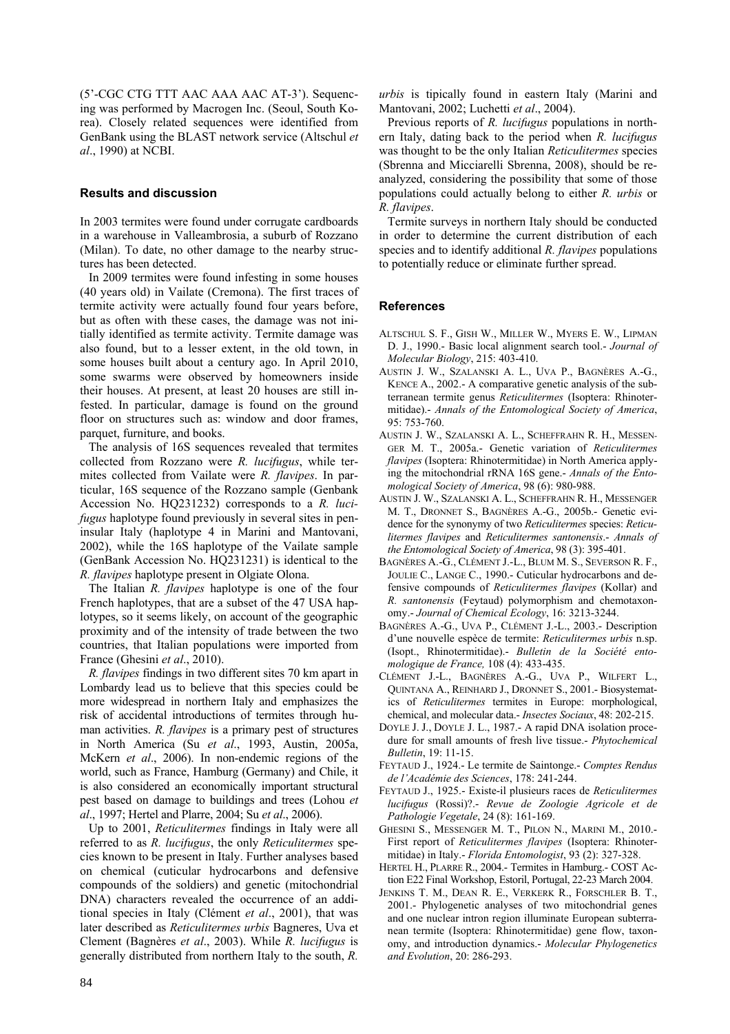(5'-CGC CTG TTT AAC AAA AAC AT-3'). Sequencing was performed by Macrogen Inc. (Seoul, South Korea). Closely related sequences were identified from GenBank using the BLAST network service (Altschul *et al*., 1990) at NCBI.

## **Results and discussion**

In 2003 termites were found under corrugate cardboards in a warehouse in Valleambrosia, a suburb of Rozzano (Milan). To date, no other damage to the nearby structures has been detected.

In 2009 termites were found infesting in some houses (40 years old) in Vailate (Cremona). The first traces of termite activity were actually found four years before, but as often with these cases, the damage was not initially identified as termite activity. Termite damage was also found, but to a lesser extent, in the old town, in some houses built about a century ago. In April 2010, some swarms were observed by homeowners inside their houses. At present, at least 20 houses are still infested. In particular, damage is found on the ground floor on structures such as: window and door frames, parquet, furniture, and books.

The analysis of 16S sequences revealed that termites collected from Rozzano were *R. lucifugus*, while termites collected from Vailate were *R. flavipes*. In particular, 16S sequence of the Rozzano sample (Genbank Accession No. HQ231232) corresponds to a *R. lucifugus* haplotype found previously in several sites in peninsular Italy (haplotype 4 in Marini and Mantovani, 2002), while the 16S haplotype of the Vailate sample (GenBank Accession No. HQ231231) is identical to the *R. flavipes* haplotype present in Olgiate Olona.

The Italian *R. flavipes* haplotype is one of the four French haplotypes, that are a subset of the 47 USA haplotypes, so it seems likely, on account of the geographic proximity and of the intensity of trade between the two countries, that Italian populations were imported from France (Ghesini *et al*., 2010).

*R. flavipes* findings in two different sites 70 km apart in Lombardy lead us to believe that this species could be more widespread in northern Italy and emphasizes the risk of accidental introductions of termites through human activities. *R. flavipes* is a primary pest of structures in North America (Su *et al*., 1993, Austin, 2005a, McKern *et al*., 2006). In non-endemic regions of the world, such as France, Hamburg (Germany) and Chile, it is also considered an economically important structural pest based on damage to buildings and trees (Lohou *et al*., 1997; Hertel and Plarre, 2004; Su *et al*., 2006).

Up to 2001, *Reticulitermes* findings in Italy were all referred to as *R. lucifugus*, the only *Reticulitermes* species known to be present in Italy. Further analyses based on chemical (cuticular hydrocarbons and defensive compounds of the soldiers) and genetic (mitochondrial DNA) characters revealed the occurrence of an additional species in Italy (Clément *et al*., 2001), that was later described as *Reticulitermes urbis* Bagneres, Uva et Clement (Bagnères *et al*., 2003). While *R. lucifugus* is generally distributed from northern Italy to the south, *R.* 

*urbis* is tipically found in eastern Italy (Marini and Mantovani, 2002; Luchetti *et al*., 2004).

Previous reports of *R. lucifugus* populations in northern Italy, dating back to the period when *R. lucifugus* was thought to be the only Italian *Reticulitermes* species (Sbrenna and Micciarelli Sbrenna, 2008), should be reanalyzed, considering the possibility that some of those populations could actually belong to either *R. urbis* or *R. flavipes*.

Termite surveys in northern Italy should be conducted in order to determine the current distribution of each species and to identify additional *R. flavipes* populations to potentially reduce or eliminate further spread.

## **References**

- ALTSCHUL S. F., GISH W., MILLER W., MYERS E. W., LIPMAN D. J., 1990.- Basic local alignment search tool.- *Journal of Molecular Biology*, 215: 403-410.
- AUSTIN J. W., SZALANSKI A. L., UVA P., BAGNÈRES A.-G., KENCE A., 2002.- A comparative genetic analysis of the subterranean termite genus *Reticulitermes* (Isoptera: Rhinotermitidae).- *Annals of the Entomological Society of America*, 95: 753-760.
- AUSTIN J. W., SZALANSKI A. L., SCHEFFRAHN R. H., MESSEN-GER M. T., 2005a.- Genetic variation of *Reticulitermes flavipes* (Isoptera: Rhinotermitidae) in North America applying the mitochondrial rRNA 16S gene.- *Annals of the Entomological Society of America*, 98 (6): 980-988.
- AUSTIN J. W., SZALANSKI A. L., SCHEFFRAHN R. H., MESSENGER M. T., DRONNET S., BAGNÈRES A.-G., 2005b.- Genetic evidence for the synonymy of two *Reticulitermes* species: *Reticulitermes flavipes* and *Reticulitermes santonensis*.- *Annals of the Entomological Society of America*, 98 (3): 395-401.
- BAGNÈRES A.-G., CLÉMENT J.-L., BLUM M. S., SEVERSON R. F., JOULIE C., LANGE C., 1990.- Cuticular hydrocarbons and defensive compounds of *Reticulitermes flavipes* (Kollar) and *R. santonensis* (Feytaud) polymorphism and chemotaxonomy.- *Journal of Chemical Ecology*, 16: 3213-3244.
- BAGNÈRES A.-G., UVA P., CLÉMENT J.-L., 2003.- Description d'une nouvelle espèce de termite: *Reticulitermes urbis* n.sp. (Isopt., Rhinotermitidae).- *Bulletin de la Société entomologique de France,* 108 (4): 433-435.
- CLÉMENT J.-L., BAGNÈRES A.-G., UVA P., WILFERT L., QUINTANA A., REINHARD J., DRONNET S., 2001.- Biosystematics of *Reticulitermes* termites in Europe: morphological, chemical, and molecular data.- *Insectes Sociaux*, 48: 202-215.
- DOYLE J. J., DOYLE J. L., 1987.- A rapid DNA isolation procedure for small amounts of fresh live tissue.- *Phytochemical Bulletin*, 19: 11-15.
- FEYTAUD J., 1924.- Le termite de Saintonge.- *Comptes Rendus de l'Académie des Sciences*, 178: 241-244.
- FEYTAUD J., 1925.- Existe-il plusieurs races de *Reticulitermes lucifugus* (Rossi)?.- *Revue de Zoologie Agricole et de Pathologie Vegetale*, 24 (8): 161-169.
- GHESINI S., MESSENGER M. T., PILON N., MARINI M., 2010.- First report of *Reticulitermes flavipes* (Isoptera: Rhinotermitidae) in Italy.- *Florida Entomologist*, 93 (2): 327-328.
- HERTEL H., PLARRE R., 2004.- Termites in Hamburg.- COST Action E22 Final Workshop, Estoril, Portugal, 22-23 March 2004.
- JENKINS T. M., DEAN R. E., VERKERK R., FORSCHLER B. T., 2001.- Phylogenetic analyses of two mitochondrial genes and one nuclear intron region illuminate European subterranean termite (Isoptera: Rhinotermitidae) gene flow, taxonomy, and introduction dynamics.- *Molecular Phylogenetics and Evolution*, 20: 286-293.